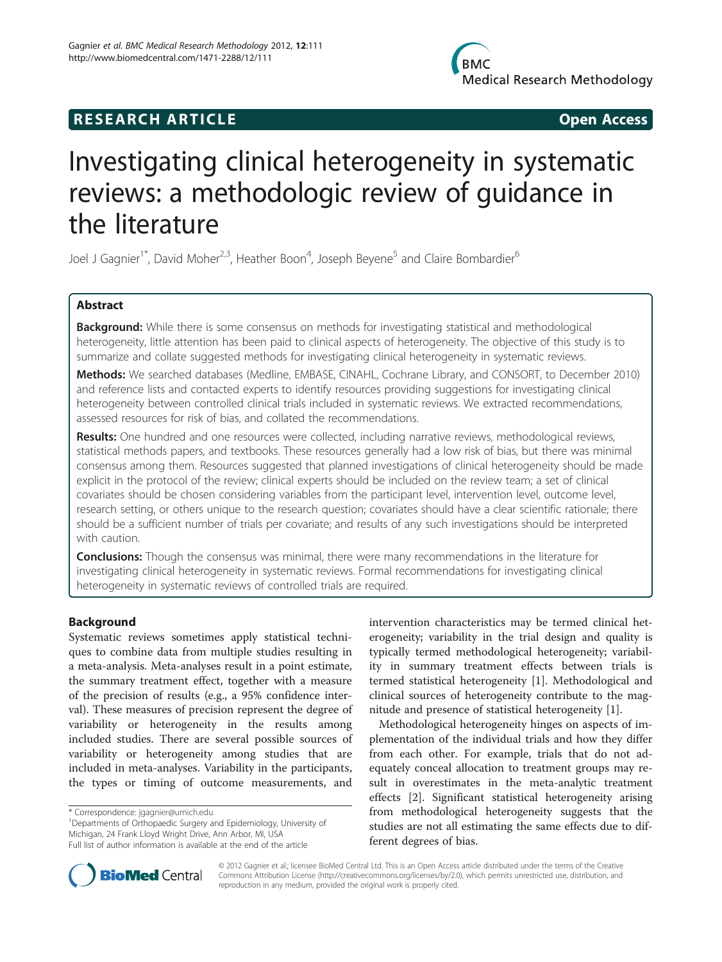# **RESEARCH ARTICLE Example 2014 CONSIDERING CONSIDERING CONSIDERING CONSIDERING CONSIDERING CONSIDERING CONSIDERING CONSIDERING CONSIDERING CONSIDERING CONSIDERING CONSIDERING CONSIDERING CONSIDERING CONSIDERING CONSIDE**

# Investigating clinical heterogeneity in systematic reviews: a methodologic review of guidance in the literature

Joel J Gagnier<sup>1\*</sup>, David Moher<sup>2,3</sup>, Heather Boon<sup>4</sup>, Joseph Beyene<sup>5</sup> and Claire Bombardier<sup>6</sup>

# Abstract

Background: While there is some consensus on methods for investigating statistical and methodological heterogeneity, little attention has been paid to clinical aspects of heterogeneity. The objective of this study is to summarize and collate suggested methods for investigating clinical heterogeneity in systematic reviews.

Methods: We searched databases (Medline, EMBASE, CINAHL, Cochrane Library, and CONSORT, to December 2010) and reference lists and contacted experts to identify resources providing suggestions for investigating clinical heterogeneity between controlled clinical trials included in systematic reviews. We extracted recommendations, assessed resources for risk of bias, and collated the recommendations.

Results: One hundred and one resources were collected, including narrative reviews, methodological reviews, statistical methods papers, and textbooks. These resources generally had a low risk of bias, but there was minimal consensus among them. Resources suggested that planned investigations of clinical heterogeneity should be made explicit in the protocol of the review; clinical experts should be included on the review team; a set of clinical covariates should be chosen considering variables from the participant level, intervention level, outcome level, research setting, or others unique to the research question; covariates should have a clear scientific rationale; there should be a sufficient number of trials per covariate; and results of any such investigations should be interpreted with caution.

**Conclusions:** Though the consensus was minimal, there were many recommendations in the literature for investigating clinical heterogeneity in systematic reviews. Formal recommendations for investigating clinical heterogeneity in systematic reviews of controlled trials are required.

# Background

Systematic reviews sometimes apply statistical techniques to combine data from multiple studies resulting in a meta-analysis. Meta-analyses result in a point estimate, the summary treatment effect, together with a measure of the precision of results (e.g., a 95% confidence interval). These measures of precision represent the degree of variability or heterogeneity in the results among included studies. There are several possible sources of variability or heterogeneity among studies that are included in meta-analyses. Variability in the participants, the types or timing of outcome measurements, and

<sup>1</sup>Departments of Orthopaedic Surgery and Epidemiology, University of Michigan, 24 Frank Lloyd Wright Drive, Ann Arbor, MI, USA

intervention characteristics may be termed clinical heterogeneity; variability in the trial design and quality is typically termed methodological heterogeneity; variability in summary treatment effects between trials is termed statistical heterogeneity [[1\]](#page-11-0). Methodological and clinical sources of heterogeneity contribute to the magnitude and presence of statistical heterogeneity [\[1](#page-11-0)].

Methodological heterogeneity hinges on aspects of implementation of the individual trials and how they differ from each other. For example, trials that do not adequately conceal allocation to treatment groups may result in overestimates in the meta-analytic treatment effects [\[2](#page-11-0)]. Significant statistical heterogeneity arising from methodological heterogeneity suggests that the studies are not all estimating the same effects due to different degrees of bias.



© 2012 Gagnier et al.; licensee BioMed Central Ltd. This is an Open Access article distributed under the terms of the Creative Commons Attribution License [\(http://creativecommons.org/licenses/by/2.0\)](http://creativecommons.org/licenses/by/2.0), which permits unrestricted use, distribution, and reproduction in any medium, provided the original work is properly cited.

<sup>\*</sup> Correspondence: [jgagnier@umich.edu](mailto:jgagnier@umich.edu) <sup>1</sup>

Full list of author information is available at the end of the article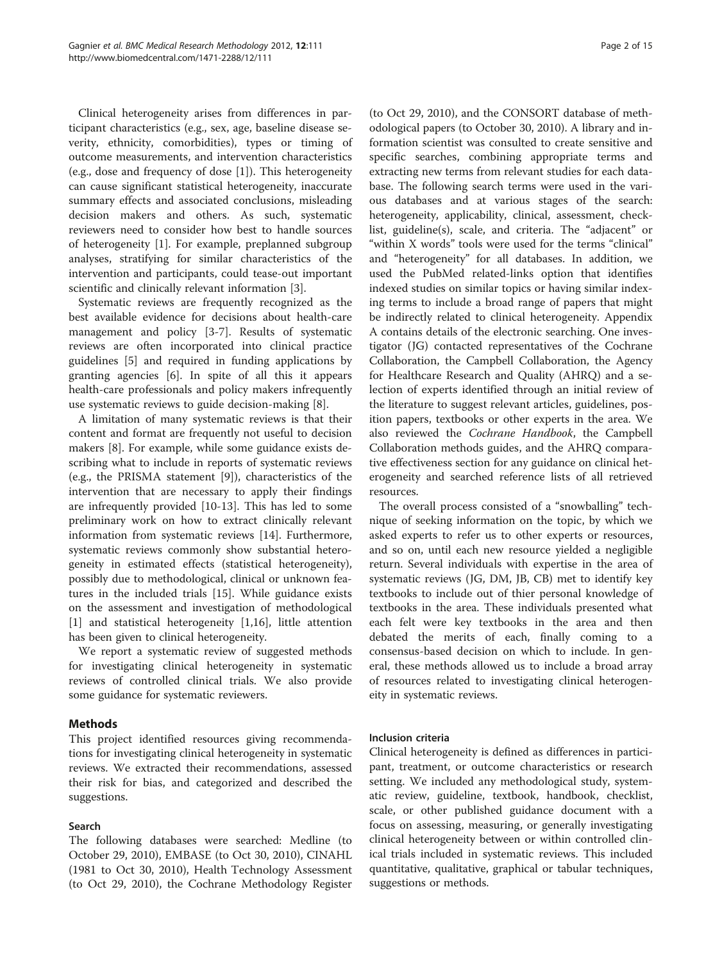Clinical heterogeneity arises from differences in participant characteristics (e.g., sex, age, baseline disease severity, ethnicity, comorbidities), types or timing of outcome measurements, and intervention characteristics (e.g., dose and frequency of dose [[1\]](#page-11-0)). This heterogeneity can cause significant statistical heterogeneity, inaccurate summary effects and associated conclusions, misleading decision makers and others. As such, systematic reviewers need to consider how best to handle sources of heterogeneity [[1\]](#page-11-0). For example, preplanned subgroup analyses, stratifying for similar characteristics of the intervention and participants, could tease-out important scientific and clinically relevant information [[3](#page-11-0)].

Systematic reviews are frequently recognized as the best available evidence for decisions about health-care management and policy [\[3](#page-11-0)-[7\]](#page-12-0). Results of systematic reviews are often incorporated into clinical practice guidelines [[5\]](#page-12-0) and required in funding applications by granting agencies [\[6](#page-12-0)]. In spite of all this it appears health-care professionals and policy makers infrequently use systematic reviews to guide decision-making [\[8](#page-12-0)].

A limitation of many systematic reviews is that their content and format are frequently not useful to decision makers [\[8](#page-12-0)]. For example, while some guidance exists describing what to include in reports of systematic reviews (e.g., the PRISMA statement [\[9](#page-12-0)]), characteristics of the intervention that are necessary to apply their findings are infrequently provided [\[10-13](#page-12-0)]. This has led to some preliminary work on how to extract clinically relevant information from systematic reviews [\[14\]](#page-12-0). Furthermore, systematic reviews commonly show substantial heterogeneity in estimated effects (statistical heterogeneity), possibly due to methodological, clinical or unknown features in the included trials [\[15](#page-12-0)]. While guidance exists on the assessment and investigation of methodological [[1\]](#page-11-0) and statistical heterogeneity [[1,](#page-11-0)[16\]](#page-12-0), little attention has been given to clinical heterogeneity.

We report a systematic review of suggested methods for investigating clinical heterogeneity in systematic reviews of controlled clinical trials. We also provide some guidance for systematic reviewers.

#### Methods

This project identified resources giving recommendations for investigating clinical heterogeneity in systematic reviews. We extracted their recommendations, assessed their risk for bias, and categorized and described the suggestions.

#### Search

The following databases were searched: Medline (to October 29, 2010), EMBASE (to Oct 30, 2010), CINAHL (1981 to Oct 30, 2010), Health Technology Assessment (to Oct 29, 2010), the Cochrane Methodology Register

(to Oct 29, 2010), and the CONSORT database of methodological papers (to October 30, 2010). A library and information scientist was consulted to create sensitive and specific searches, combining appropriate terms and extracting new terms from relevant studies for each database. The following search terms were used in the various databases and at various stages of the search: heterogeneity, applicability, clinical, assessment, checklist, guideline(s), scale, and criteria. The "adjacent" or "within X words" tools were used for the terms "clinical" and "heterogeneity" for all databases. In addition, we used the PubMed related-links option that identifies indexed studies on similar topics or having similar indexing terms to include a broad range of papers that might be indirectly related to clinical heterogeneity. Appendix A contains details of the electronic searching. One investigator (JG) contacted representatives of the Cochrane Collaboration, the Campbell Collaboration, the Agency for Healthcare Research and Quality (AHRQ) and a selection of experts identified through an initial review of the literature to suggest relevant articles, guidelines, position papers, textbooks or other experts in the area. We also reviewed the Cochrane Handbook, the Campbell Collaboration methods guides, and the AHRQ comparative effectiveness section for any guidance on clinical heterogeneity and searched reference lists of all retrieved resources.

The overall process consisted of a "snowballing" technique of seeking information on the topic, by which we asked experts to refer us to other experts or resources, and so on, until each new resource yielded a negligible return. Several individuals with expertise in the area of systematic reviews (JG, DM, JB, CB) met to identify key textbooks to include out of thier personal knowledge of textbooks in the area. These individuals presented what each felt were key textbooks in the area and then debated the merits of each, finally coming to a consensus-based decision on which to include. In general, these methods allowed us to include a broad array of resources related to investigating clinical heterogeneity in systematic reviews.

#### Inclusion criteria

Clinical heterogeneity is defined as differences in participant, treatment, or outcome characteristics or research setting. We included any methodological study, systematic review, guideline, textbook, handbook, checklist, scale, or other published guidance document with a focus on assessing, measuring, or generally investigating clinical heterogeneity between or within controlled clinical trials included in systematic reviews. This included quantitative, qualitative, graphical or tabular techniques, suggestions or methods.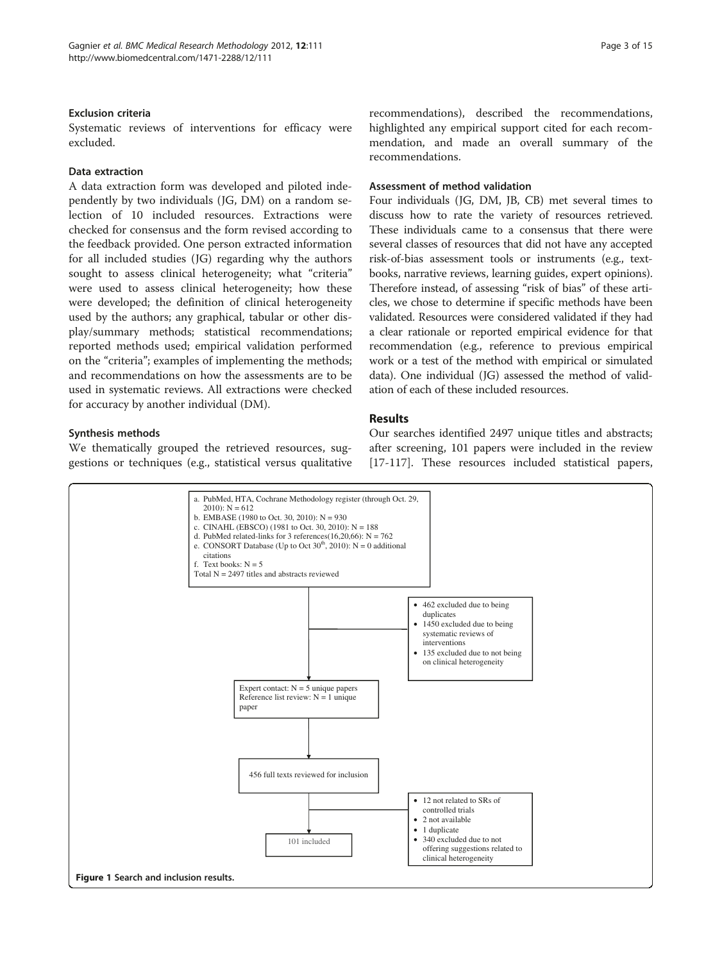#### <span id="page-2-0"></span>Exclusion criteria

Systematic reviews of interventions for efficacy were excluded.

#### Data extraction

A data extraction form was developed and piloted independently by two individuals (JG, DM) on a random selection of 10 included resources. Extractions were checked for consensus and the form revised according to the feedback provided. One person extracted information for all included studies (JG) regarding why the authors sought to assess clinical heterogeneity; what "criteria" were used to assess clinical heterogeneity; how these were developed; the definition of clinical heterogeneity used by the authors; any graphical, tabular or other display/summary methods; statistical recommendations; reported methods used; empirical validation performed on the "criteria"; examples of implementing the methods; and recommendations on how the assessments are to be used in systematic reviews. All extractions were checked for accuracy by another individual (DM).

#### Synthesis methods

We thematically grouped the retrieved resources, suggestions or techniques (e.g., statistical versus qualitative recommendations), described the recommendations, highlighted any empirical support cited for each recommendation, and made an overall summary of the recommendations.

#### Assessment of method validation

Four individuals (JG, DM, JB, CB) met several times to discuss how to rate the variety of resources retrieved. These individuals came to a consensus that there were several classes of resources that did not have any accepted risk-of-bias assessment tools or instruments (e.g., textbooks, narrative reviews, learning guides, expert opinions). Therefore instead, of assessing "risk of bias" of these articles, we chose to determine if specific methods have been validated. Resources were considered validated if they had a clear rationale or reported empirical evidence for that recommendation (e.g., reference to previous empirical work or a test of the method with empirical or simulated data). One individual (JG) assessed the method of validation of each of these included resources.

# Results

Our searches identified 2497 unique titles and abstracts; after screening, 101 papers were included in the review [[17-](#page-12-0)[117\]](#page-14-0). These resources included statistical papers,

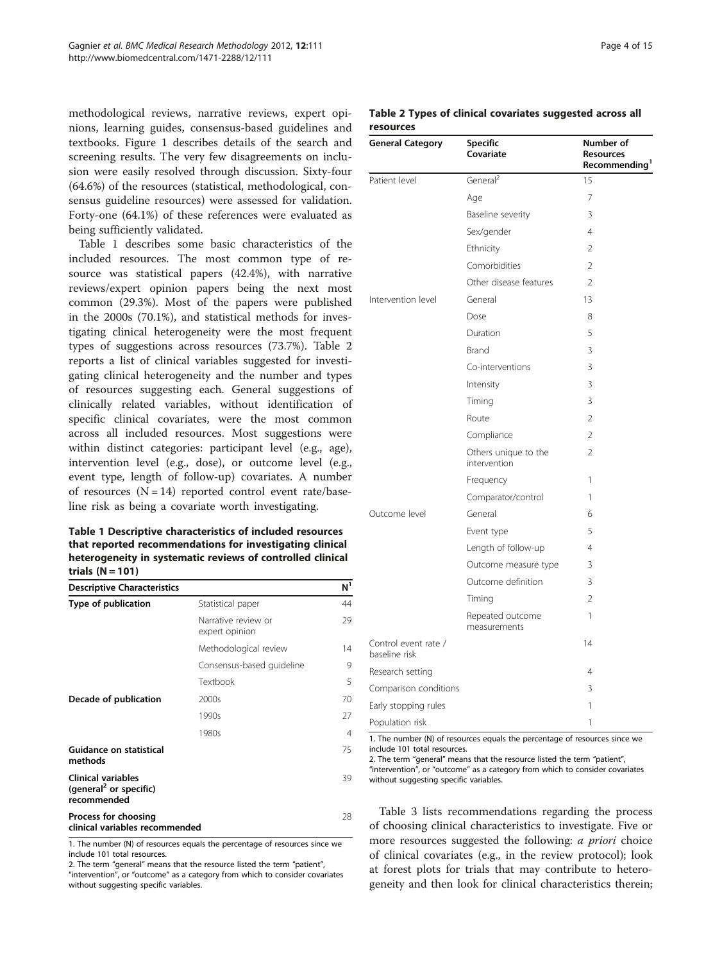methodological reviews, narrative reviews, expert opinions, learning guides, consensus-based guidelines and textbooks. Figure [1](#page-2-0) describes details of the search and screening results. The very few disagreements on inclusion were easily resolved through discussion. Sixty-four (64.6%) of the resources (statistical, methodological, consensus guideline resources) were assessed for validation. Forty-one (64.1%) of these references were evaluated as being sufficiently validated.

Table 1 describes some basic characteristics of the included resources. The most common type of resource was statistical papers (42.4%), with narrative reviews/expert opinion papers being the next most common (29.3%). Most of the papers were published in the 2000s (70.1%), and statistical methods for investigating clinical heterogeneity were the most frequent types of suggestions across resources (73.7%). Table 2 reports a list of clinical variables suggested for investigating clinical heterogeneity and the number and types of resources suggesting each. General suggestions of clinically related variables, without identification of specific clinical covariates, were the most common across all included resources. Most suggestions were within distinct categories: participant level (e.g., age), intervention level (e.g., dose), or outcome level (e.g., event type, length of follow-up) covariates. A number of resources  $(N = 14)$  reported control event rate/baseline risk as being a covariate worth investigating.

Table 1 Descriptive characteristics of included resources that reported recommendations for investigating clinical heterogeneity in systematic reviews of controlled clinical trials  $(N = 101)$ 

| <b>Descriptive Characteristics</b>                                             |                                       | N <sup>1</sup> |
|--------------------------------------------------------------------------------|---------------------------------------|----------------|
| Type of publication                                                            | Statistical paper                     | 44             |
|                                                                                | Narrative review or<br>expert opinion | 29             |
|                                                                                | Methodological review                 | 14             |
|                                                                                | Consensus-based guideline             | 9              |
|                                                                                | Textbook                              | 5              |
| Decade of publication                                                          | 2000s                                 | 70             |
|                                                                                | 1990s                                 | 27             |
|                                                                                | 1980s                                 | 4              |
| Guidance on statistical<br>methods                                             |                                       | 75             |
| <b>Clinical variables</b><br>(general <sup>2</sup> or specific)<br>recommended |                                       | 39             |
| Process for choosing<br>clinical variables recommended                         |                                       | 28             |

1. The number (N) of resources equals the percentage of resources since we include 101 total resources.

2. The term "general" means that the resource listed the term "patient", "intervention", or "outcome" as a category from which to consider covariates

without suggesting specific variables.

#### Table 2 Types of clinical covariates suggested across all resources

| <b>General Category</b>               | Specific<br>Covariate                | Number of<br><b>Resources</b><br>Recommending <sup>1</sup> |
|---------------------------------------|--------------------------------------|------------------------------------------------------------|
| Patient level                         | General <sup>2</sup>                 | 15                                                         |
|                                       | Age                                  | 7                                                          |
|                                       | Baseline severity                    | 3                                                          |
|                                       | Sex/gender                           | 4                                                          |
|                                       | Ethnicity                            | $\overline{\phantom{a}}$                                   |
|                                       | Comorbidities                        | $\overline{2}$                                             |
|                                       | Other disease features               | $\overline{\phantom{a}}$                                   |
| Intervention level                    | General                              | 13                                                         |
|                                       | Dose                                 | 8                                                          |
|                                       | Duration                             | 5                                                          |
|                                       | <b>Brand</b>                         | 3                                                          |
|                                       | Co-interventions                     | 3                                                          |
|                                       | Intensity                            | 3                                                          |
|                                       | Timing                               | 3                                                          |
|                                       | Route                                | $\overline{2}$                                             |
|                                       | Compliance                           | $\overline{\phantom{a}}$                                   |
|                                       | Others unique to the<br>intervention | 2                                                          |
|                                       | Frequency                            | 1                                                          |
|                                       | Comparator/control                   | 1                                                          |
| Outcome level                         | General                              | 6                                                          |
|                                       | Event type                           | 5                                                          |
|                                       | Length of follow-up                  | 4                                                          |
|                                       | Outcome measure type                 | 3                                                          |
|                                       | Outcome definition                   | 3                                                          |
|                                       | Timing                               | $\overline{2}$                                             |
|                                       | Repeated outcome<br>measurements     | 1                                                          |
| Control event rate /<br>baseline risk |                                      | 14                                                         |
| Research setting                      |                                      | 4                                                          |
| Comparison conditions                 |                                      | 3                                                          |
| Early stopping rules                  |                                      | 1                                                          |
| Population risk                       |                                      | 1                                                          |

1. The number (N) of resources equals the percentage of resources since we include 101 total resources.

2. The term "general" means that the resource listed the term "patient", "intervention", or "outcome" as a category from which to consider covariates without suggesting specific variables.

Table [3](#page-4-0) lists recommendations regarding the process of choosing clinical characteristics to investigate. Five or more resources suggested the following: *a priori* choice of clinical covariates (e.g., in the review protocol); look at forest plots for trials that may contribute to heterogeneity and then look for clinical characteristics therein;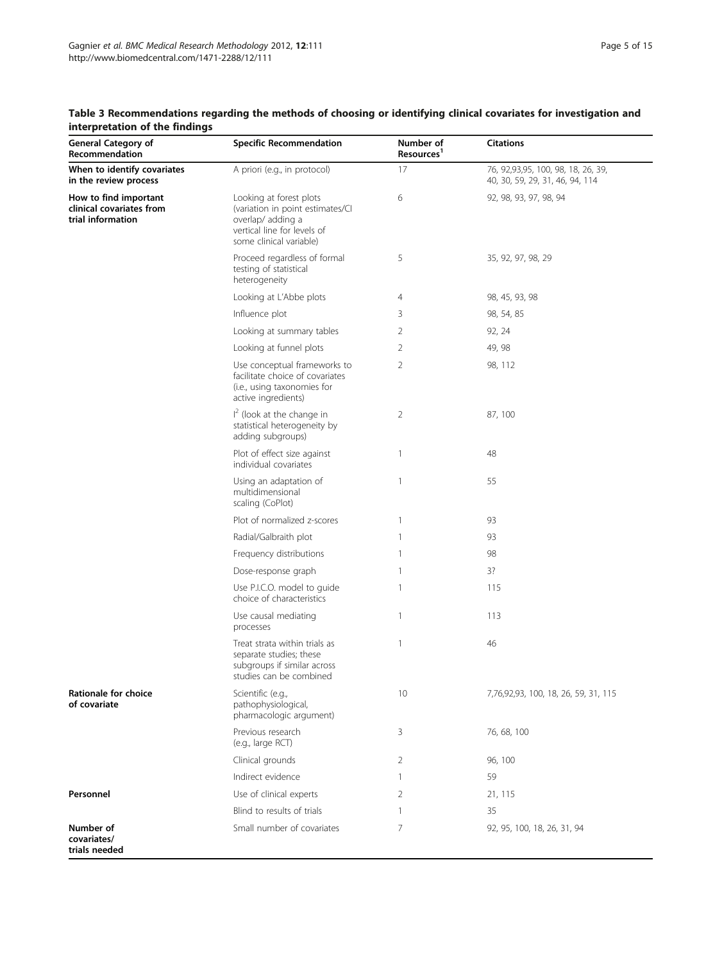| <b>General Category of</b><br>Recommendation                           | <b>Specific Recommendation</b>                                                                                                            | Number of<br>Resources <sup>1</sup> | <b>Citations</b>                                                        |
|------------------------------------------------------------------------|-------------------------------------------------------------------------------------------------------------------------------------------|-------------------------------------|-------------------------------------------------------------------------|
| When to identify covariates<br>in the review process                   | A priori (e.g., in protocol)                                                                                                              | 17                                  | 76, 92, 93, 95, 100, 98, 18, 26, 39,<br>40, 30, 59, 29, 31, 46, 94, 114 |
| How to find important<br>clinical covariates from<br>trial information | Looking at forest plots<br>(variation in point estimates/Cl<br>overlap/adding a<br>vertical line for levels of<br>some clinical variable) | 6                                   | 92, 98, 93, 97, 98, 94                                                  |
|                                                                        | Proceed regardless of formal<br>testing of statistical<br>heterogeneity                                                                   | 5                                   | 35, 92, 97, 98, 29                                                      |
|                                                                        | Looking at L'Abbe plots                                                                                                                   | 4                                   | 98, 45, 93, 98                                                          |
|                                                                        | Influence plot                                                                                                                            | 3                                   | 98, 54, 85                                                              |
|                                                                        | Looking at summary tables                                                                                                                 | 2                                   | 92, 24                                                                  |
|                                                                        | Looking at funnel plots                                                                                                                   | 2                                   | 49, 98                                                                  |
|                                                                        | Use conceptual frameworks to<br>facilitate choice of covariates<br>(i.e., using taxonomies for<br>active ingredients)                     | 2                                   | 98, 112                                                                 |
|                                                                        | $I2$ (look at the change in<br>statistical heterogeneity by<br>adding subgroups)                                                          | 2                                   | 87, 100                                                                 |
|                                                                        | Plot of effect size against<br>individual covariates                                                                                      | $\mathbf{1}$                        | 48                                                                      |
|                                                                        | Using an adaptation of<br>multidimensional<br>scaling (CoPlot)                                                                            | $\mathbf{1}$                        | 55                                                                      |
|                                                                        | Plot of normalized z-scores                                                                                                               | $\mathbf{1}$                        | 93                                                                      |
|                                                                        | Radial/Galbraith plot                                                                                                                     | $\mathbf{1}$                        | 93                                                                      |
|                                                                        | Frequency distributions                                                                                                                   | 1                                   | 98                                                                      |
|                                                                        | Dose-response graph                                                                                                                       | $\mathbf{1}$                        | 3?                                                                      |
|                                                                        | Use P.I.C.O. model to guide<br>choice of characteristics                                                                                  | 1                                   | 115                                                                     |
|                                                                        | Use causal mediating<br>processes                                                                                                         | $\mathbf{1}$                        | 113                                                                     |
|                                                                        | Treat strata within trials as<br>separate studies; these<br>subgroups if similar across<br>studies can be combined                        | $\mathbf{1}$                        | 46                                                                      |
| <b>Rationale for choice</b><br>of covariate                            | Scientific (e.g.,<br>pathophysiological,<br>pharmacologic argument)                                                                       | 10                                  | 7,76,92,93, 100, 18, 26, 59, 31, 115                                    |
|                                                                        | Previous research<br>(e.g., large RCT)                                                                                                    | 3                                   | 76, 68, 100                                                             |
|                                                                        | Clinical grounds                                                                                                                          | 2                                   | 96, 100                                                                 |
|                                                                        | Indirect evidence                                                                                                                         | $\mathbf{1}$                        | 59                                                                      |
| Personnel                                                              | Use of clinical experts                                                                                                                   | 2                                   | 21, 115                                                                 |
|                                                                        | Blind to results of trials                                                                                                                | $\mathbf{1}$                        | 35                                                                      |
| Number of<br>covariates/<br>trials needed                              | Small number of covariates                                                                                                                | 7                                   | 92, 95, 100, 18, 26, 31, 94                                             |

# <span id="page-4-0"></span>Table 3 Recommendations regarding the methods of choosing or identifying clinical covariates for investigation and interpretation of the findings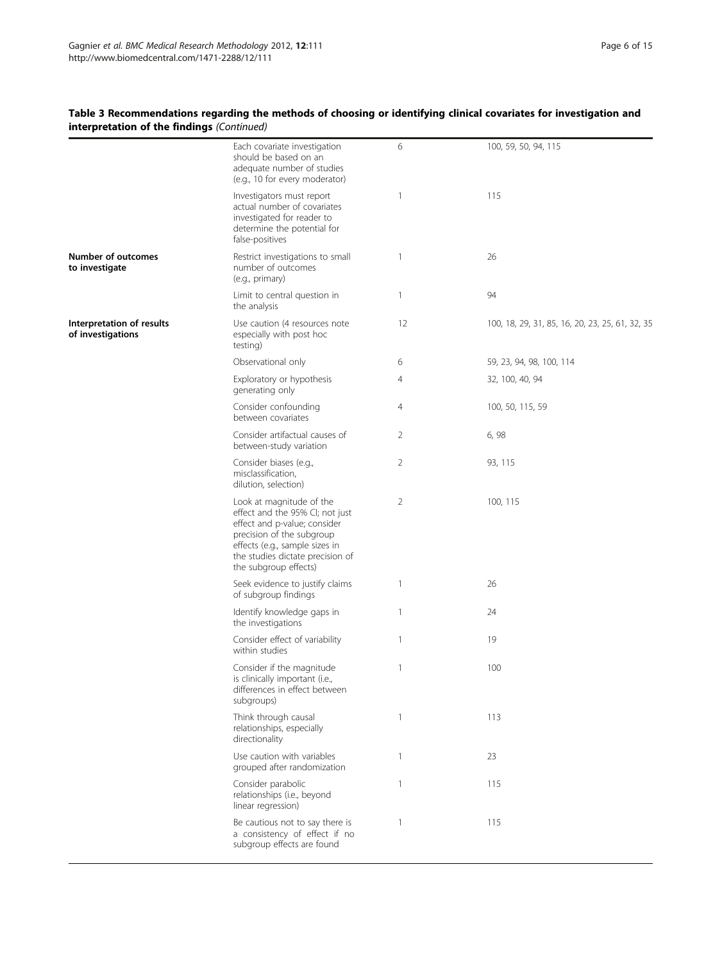# Table 3 Recommendations regarding the methods of choosing or identifying clinical covariates for investigation and interpretation of the findings (Continued)

|                                                | Each covariate investigation<br>should be based on an<br>adequate number of studies<br>(e.g., 10 for every moderator)                                                                                                   | 6              | 100, 59, 50, 94, 115                            |
|------------------------------------------------|-------------------------------------------------------------------------------------------------------------------------------------------------------------------------------------------------------------------------|----------------|-------------------------------------------------|
|                                                | Investigators must report<br>actual number of covariates<br>investigated for reader to<br>determine the potential for<br>false-positives                                                                                | $\mathbf{1}$   | 115                                             |
| <b>Number of outcomes</b><br>to investigate    | Restrict investigations to small<br>number of outcomes<br>(e.g., primary)                                                                                                                                               | $\mathbf{1}$   | 26                                              |
|                                                | Limit to central question in<br>the analysis                                                                                                                                                                            | $\mathbf{1}$   | 94                                              |
| Interpretation of results<br>of investigations | Use caution (4 resources note<br>especially with post hoc<br>testing)                                                                                                                                                   | 12             | 100, 18, 29, 31, 85, 16, 20, 23, 25, 61, 32, 35 |
|                                                | Observational only                                                                                                                                                                                                      | 6              | 59, 23, 94, 98, 100, 114                        |
|                                                | Exploratory or hypothesis<br>generating only                                                                                                                                                                            | $\overline{4}$ | 32, 100, 40, 94                                 |
|                                                | Consider confounding<br>between covariates                                                                                                                                                                              | $\overline{4}$ | 100, 50, 115, 59                                |
|                                                | Consider artifactual causes of<br>between-study variation                                                                                                                                                               | 2              | 6, 98                                           |
|                                                | Consider biases (e.g.,<br>misclassification,<br>dilution, selection)                                                                                                                                                    | 2              | 93, 115                                         |
|                                                | Look at magnitude of the<br>effect and the 95% CI; not just<br>effect and p-value; consider<br>precision of the subgroup<br>effects (e.g., sample sizes in<br>the studies dictate precision of<br>the subgroup effects) | 2              | 100, 115                                        |
|                                                | Seek evidence to justify claims<br>of subgroup findings                                                                                                                                                                 | $\mathbf{1}$   | 26                                              |
|                                                | Identify knowledge gaps in<br>the investigations                                                                                                                                                                        | $\mathbf{1}$   | 24                                              |
|                                                | Consider effect of variability<br>within studies                                                                                                                                                                        | $\mathbf{1}$   | 19                                              |
|                                                | Consider if the magnitude<br>is clinically important (i.e.,<br>differences in effect between<br>subgroups)                                                                                                              | $\mathbf{1}$   | 100                                             |
|                                                | Think through causal<br>relationships, especially<br>directionality                                                                                                                                                     | $\mathbf{1}$   | 113                                             |
|                                                | Use caution with variables<br>grouped after randomization                                                                                                                                                               | $\mathbf{1}$   | 23                                              |
|                                                | Consider parabolic<br>relationships (i.e., beyond<br>linear regression)                                                                                                                                                 | $\mathbf{1}$   | 115                                             |
|                                                | Be cautious not to say there is<br>a consistency of effect if no<br>subgroup effects are found                                                                                                                          | $\mathbf{1}$   | 115                                             |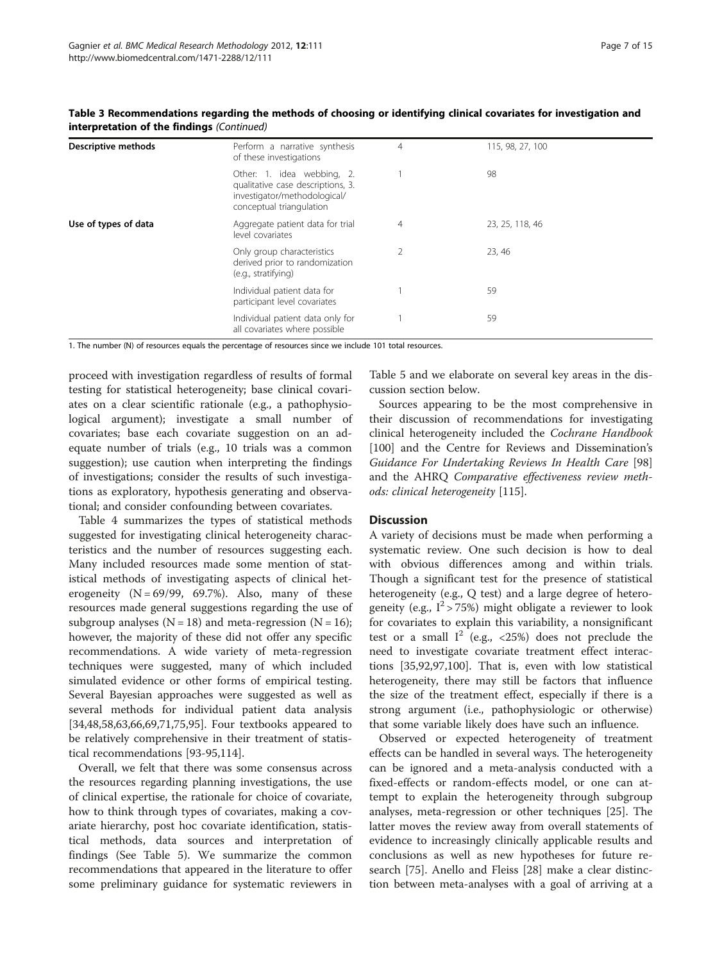| <b>Descriptive methods</b> | Perform a narrative synthesis<br>of these investigations                                                                    | 4              | 115, 98, 27, 100 |  |
|----------------------------|-----------------------------------------------------------------------------------------------------------------------------|----------------|------------------|--|
|                            | Other: 1. idea webbing, 2.<br>qualitative case descriptions, 3.<br>investigator/methodological/<br>conceptual triangulation |                | 98               |  |
| Use of types of data       | Aggregate patient data for trial<br>level covariates                                                                        | 4              | 23, 25, 118, 46  |  |
|                            | Only group characteristics<br>derived prior to randomization<br>(e.g., stratifying)                                         | $\overline{2}$ | 23, 46           |  |
|                            | Individual patient data for<br>participant level covariates                                                                 |                | 59               |  |
|                            | Individual patient data only for<br>all covariates where possible                                                           |                | 59               |  |

Table 3 Recommendations regarding the methods of choosing or identifying clinical covariates for investigation and interpretation of the findings (Continued)

1. The number (N) of resources equals the percentage of resources since we include 101 total resources.

proceed with investigation regardless of results of formal testing for statistical heterogeneity; base clinical covariates on a clear scientific rationale (e.g., a pathophysiological argument); investigate a small number of covariates; base each covariate suggestion on an adequate number of trials (e.g., 10 trials was a common suggestion); use caution when interpreting the findings of investigations; consider the results of such investigations as exploratory, hypothesis generating and observational; and consider confounding between covariates.

Table [4](#page-7-0) summarizes the types of statistical methods suggested for investigating clinical heterogeneity characteristics and the number of resources suggesting each. Many included resources made some mention of statistical methods of investigating aspects of clinical heterogeneity  $(N = 69/99, 69.7%)$ . Also, many of these resources made general suggestions regarding the use of subgroup analyses  $(N = 18)$  and meta-regression  $(N = 16)$ ; however, the majority of these did not offer any specific recommendations. A wide variety of meta-regression techniques were suggested, many of which included simulated evidence or other forms of empirical testing. Several Bayesian approaches were suggested as well as several methods for individual patient data analysis [[34,48,](#page-12-0)[58,63,66,69](#page-13-0),[71](#page-13-0),[75](#page-13-0),[95](#page-13-0)]. Four textbooks appeared to be relatively comprehensive in their treatment of statistical recommendations [\[93](#page-13-0)-[95,](#page-13-0)[114](#page-14-0)].

Overall, we felt that there was some consensus across the resources regarding planning investigations, the use of clinical expertise, the rationale for choice of covariate, how to think through types of covariates, making a covariate hierarchy, post hoc covariate identification, statistical methods, data sources and interpretation of findings (See Table [5\)](#page-9-0). We summarize the common recommendations that appeared in the literature to offer some preliminary guidance for systematic reviewers in

Table [5](#page-9-0) and we elaborate on several key areas in the discussion section below.

Sources appearing to be the most comprehensive in their discussion of recommendations for investigating clinical heterogeneity included the Cochrane Handbook [[100\]](#page-13-0) and the Centre for Reviews and Dissemination's Guidance For Undertaking Reviews In Health Care [[98](#page-13-0)] and the AHRQ Comparative effectiveness review methods: clinical heterogeneity [[115\]](#page-14-0).

#### **Discussion**

A variety of decisions must be made when performing a systematic review. One such decision is how to deal with obvious differences among and within trials. Though a significant test for the presence of statistical heterogeneity (e.g., Q test) and a large degree of heterogeneity (e.g.,  $I^2 > 75\%$ ) might obligate a reviewer to look for covariates to explain this variability, a nonsignificant test or a small  $I^2$  (e.g., <25%) does not preclude the need to investigate covariate treatment effect interactions [\[35](#page-12-0)[,92,97,100\]](#page-13-0). That is, even with low statistical heterogeneity, there may still be factors that influence the size of the treatment effect, especially if there is a strong argument (i.e., pathophysiologic or otherwise) that some variable likely does have such an influence.

Observed or expected heterogeneity of treatment effects can be handled in several ways. The heterogeneity can be ignored and a meta-analysis conducted with a fixed-effects or random-effects model, or one can attempt to explain the heterogeneity through subgroup analyses, meta-regression or other techniques [\[25](#page-12-0)]. The latter moves the review away from overall statements of evidence to increasingly clinically applicable results and conclusions as well as new hypotheses for future research [[75](#page-13-0)]. Anello and Fleiss [[28](#page-12-0)] make a clear distinction between meta-analyses with a goal of arriving at a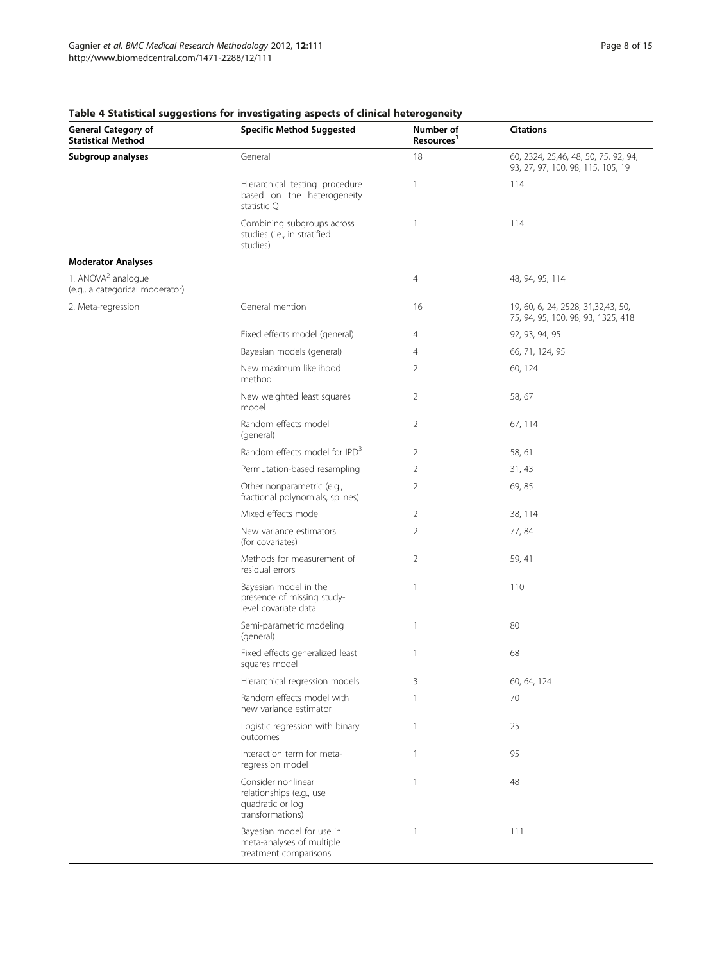| <b>General Category of</b><br><b>Statistical Method</b>           | <b>Specific Method Suggested</b>                                                       | Number of<br>Resources <sup>1</sup> | <b>Citations</b>                                                           |
|-------------------------------------------------------------------|----------------------------------------------------------------------------------------|-------------------------------------|----------------------------------------------------------------------------|
| Subgroup analyses                                                 | General                                                                                | 18                                  | 60, 2324, 25,46, 48, 50, 75, 92, 94,<br>93, 27, 97, 100, 98, 115, 105, 19  |
|                                                                   | Hierarchical testing procedure<br>based on the heterogeneity<br>statistic Q            | $\mathbf{1}$                        | 114                                                                        |
|                                                                   | Combining subgroups across<br>studies (i.e., in stratified<br>studies)                 | $\mathbf{1}$                        | 114                                                                        |
| <b>Moderator Analyses</b>                                         |                                                                                        |                                     |                                                                            |
| 1. ANOVA <sup>2</sup> analogue<br>(e.g., a categorical moderator) |                                                                                        | $\overline{4}$                      | 48, 94, 95, 114                                                            |
| 2. Meta-regression                                                | General mention                                                                        | 16                                  | 19, 60, 6, 24, 2528, 31, 32, 43, 50,<br>75, 94, 95, 100, 98, 93, 1325, 418 |
|                                                                   | Fixed effects model (general)                                                          | 4                                   | 92, 93, 94, 95                                                             |
|                                                                   | Bayesian models (general)                                                              | 4                                   | 66, 71, 124, 95                                                            |
|                                                                   | New maximum likelihood<br>method                                                       | 2                                   | 60, 124                                                                    |
|                                                                   | New weighted least squares<br>model                                                    | 2                                   | 58, 67                                                                     |
|                                                                   | Random effects model<br>(general)                                                      | 2                                   | 67, 114                                                                    |
|                                                                   | Random effects model for IPD <sup>3</sup>                                              | 2                                   | 58, 61                                                                     |
|                                                                   | Permutation-based resampling                                                           | 2                                   | 31, 43                                                                     |
|                                                                   | Other nonparametric (e.g.,<br>fractional polynomials, splines)                         | $\overline{2}$                      | 69,85                                                                      |
|                                                                   | Mixed effects model                                                                    | $\overline{2}$                      | 38, 114                                                                    |
|                                                                   | New variance estimators<br>(for covariates)                                            | 2                                   | 77,84                                                                      |
|                                                                   | Methods for measurement of<br>residual errors                                          | $\overline{2}$                      | 59, 41                                                                     |
|                                                                   | Bayesian model in the<br>presence of missing study-<br>level covariate data            | $\mathbf{1}$                        | 110                                                                        |
|                                                                   | Semi-parametric modeling<br>(general)                                                  | 1                                   | 80                                                                         |
|                                                                   | Fixed effects generalized least<br>squares model                                       | $\mathbf{1}$                        | 68                                                                         |
|                                                                   | Hierarchical regression models                                                         | 3                                   | 60, 64, 124                                                                |
|                                                                   | Random effects model with<br>new variance estimator                                    | $\mathbf{1}$                        | 70                                                                         |
|                                                                   | Logistic regression with binary<br>outcomes                                            | $\mathbf{1}$                        | 25                                                                         |
|                                                                   | Interaction term for meta-<br>regression model                                         | $\mathbf{1}$                        | 95                                                                         |
|                                                                   | Consider nonlinear<br>relationships (e.g., use<br>quadratic or log<br>transformations) | $\mathbf{1}$                        | 48                                                                         |
|                                                                   | Bayesian model for use in<br>meta-analyses of multiple<br>treatment comparisons        | $\mathbf{1}$                        | 111                                                                        |

#### <span id="page-7-0"></span>Table 4 Statistical suggestions for investigating aspects of clinical heterogeneity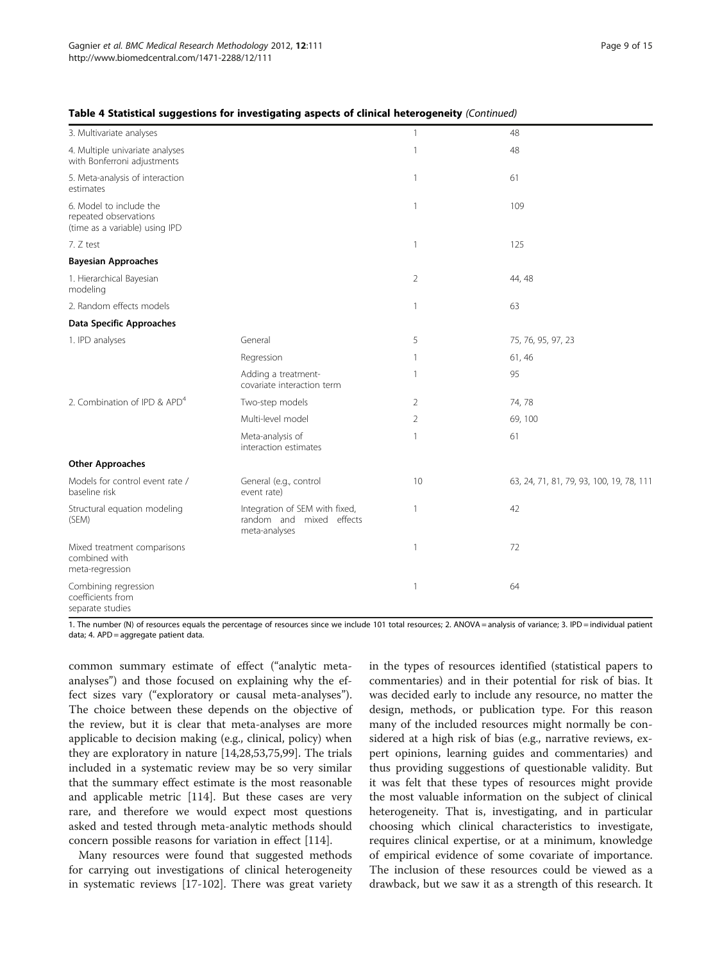#### Table 4 Statistical suggestions for investigating aspects of clinical heterogeneity (Continued)

| 3. Multivariate analyses                                                           |                                                                             | $\mathbf{1}$   | 48                                       |
|------------------------------------------------------------------------------------|-----------------------------------------------------------------------------|----------------|------------------------------------------|
| 4. Multiple univariate analyses<br>with Bonferroni adjustments                     |                                                                             | $\mathbf{1}$   | 48                                       |
| 5. Meta-analysis of interaction<br>estimates                                       |                                                                             | $\mathbf{1}$   | 61                                       |
| 6. Model to include the<br>repeated observations<br>(time as a variable) using IPD |                                                                             | $\mathbf{1}$   | 109                                      |
| 7. Z test                                                                          |                                                                             | $\mathbf{1}$   | 125                                      |
| <b>Bayesian Approaches</b>                                                         |                                                                             |                |                                          |
| 1. Hierarchical Bayesian<br>modeling                                               |                                                                             | $\overline{2}$ | 44, 48                                   |
| 2. Random effects models                                                           |                                                                             | $\mathbf{1}$   | 63                                       |
| Data Specific Approaches                                                           |                                                                             |                |                                          |
| 1. IPD analyses                                                                    | General                                                                     | 5              | 75, 76, 95, 97, 23                       |
|                                                                                    | Regression                                                                  | $\mathbf{1}$   | 61, 46                                   |
|                                                                                    | Adding a treatment-<br>covariate interaction term                           | $\mathbf{1}$   | 95                                       |
| 2. Combination of IPD & APD <sup>4</sup>                                           | Two-step models                                                             | 2              | 74,78                                    |
|                                                                                    | Multi-level model                                                           | $\overline{2}$ | 69, 100                                  |
|                                                                                    | Meta-analysis of<br>interaction estimates                                   | 1              | 61                                       |
| <b>Other Approaches</b>                                                            |                                                                             |                |                                          |
| Models for control event rate /<br>baseline risk                                   | General (e.g., control<br>event rate)                                       | 10             | 63, 24, 71, 81, 79, 93, 100, 19, 78, 111 |
| Structural equation modeling<br>(SEM)                                              | Integration of SEM with fixed,<br>random and mixed effects<br>meta-analyses | $\mathbf{1}$   | 42                                       |
| Mixed treatment comparisons<br>combined with<br>meta-regression                    |                                                                             | $\mathbf{1}$   | 72                                       |
| Combining regression<br>coefficients from<br>separate studies                      |                                                                             | $\mathbf{1}$   | 64                                       |

1. The number (N) of resources equals the percentage of resources since we include 101 total resources; 2. ANOVA = analysis of variance; 3. IPD = individual patient data; 4. APD = aggregate patient data.

common summary estimate of effect ("analytic metaanalyses") and those focused on explaining why the effect sizes vary ("exploratory or causal meta-analyses"). The choice between these depends on the objective of the review, but it is clear that meta-analyses are more applicable to decision making (e.g., clinical, policy) when they are exploratory in nature [\[14,28,53](#page-12-0)[,75,99\]](#page-13-0). The trials included in a systematic review may be so very similar that the summary effect estimate is the most reasonable and applicable metric [[114\]](#page-14-0). But these cases are very rare, and therefore we would expect most questions asked and tested through meta-analytic methods should concern possible reasons for variation in effect [\[114](#page-14-0)].

Many resources were found that suggested methods for carrying out investigations of clinical heterogeneity in systematic reviews [\[17-](#page-12-0)[102](#page-13-0)]. There was great variety in the types of resources identified (statistical papers to commentaries) and in their potential for risk of bias. It was decided early to include any resource, no matter the design, methods, or publication type. For this reason many of the included resources might normally be considered at a high risk of bias (e.g., narrative reviews, expert opinions, learning guides and commentaries) and thus providing suggestions of questionable validity. But it was felt that these types of resources might provide the most valuable information on the subject of clinical heterogeneity. That is, investigating, and in particular choosing which clinical characteristics to investigate, requires clinical expertise, or at a minimum, knowledge of empirical evidence of some covariate of importance. The inclusion of these resources could be viewed as a drawback, but we saw it as a strength of this research. It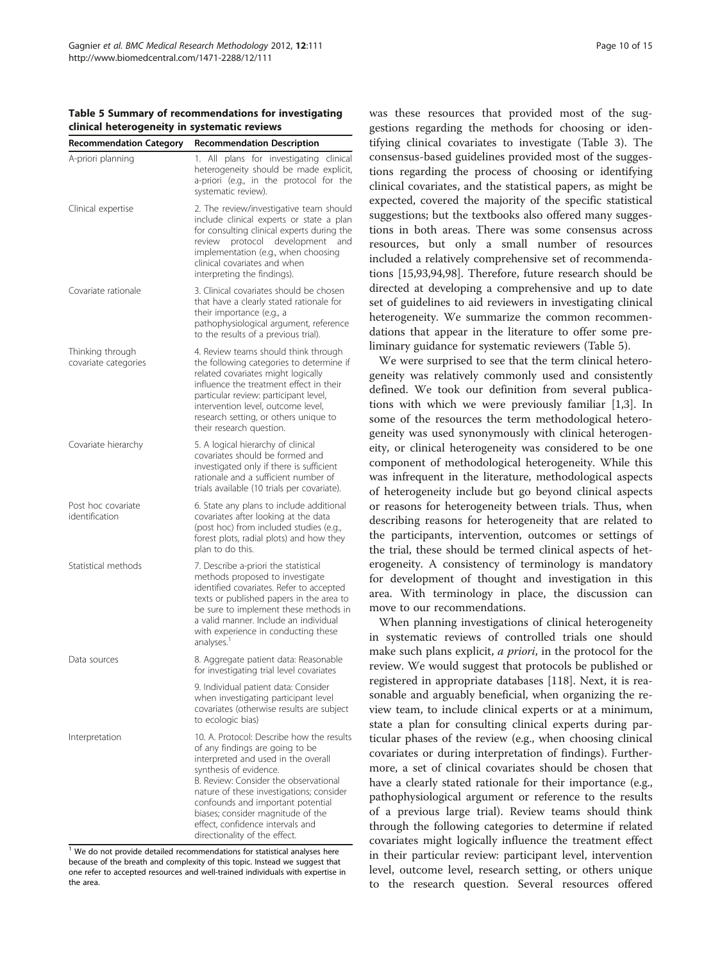<span id="page-9-0"></span>Table 5 Summary of recommendations for investigating clinical heterogeneity in systematic reviews

| <b>Recommendation Category</b>           | <b>Recommendation Description</b>                                                                                                                                                                                                                                                                                                                                                 |
|------------------------------------------|-----------------------------------------------------------------------------------------------------------------------------------------------------------------------------------------------------------------------------------------------------------------------------------------------------------------------------------------------------------------------------------|
| A-priori planning                        | All<br>plans for investigating clinical<br>1.<br>heterogeneity should be made explicit,<br>a-priori (e.g., in the protocol for the<br>systematic review).                                                                                                                                                                                                                         |
| Clinical expertise                       | 2. The review/investigative team should<br>include clinical experts or state a plan<br>for consulting clinical experts during the<br>review protocol development<br>and<br>implementation (e.g., when choosing<br>clinical covariates and when<br>interpreting the findings).                                                                                                     |
| Covariate rationale                      | 3. Clinical covariates should be chosen<br>that have a clearly stated rationale for<br>their importance (e.g., a<br>pathophysiological argument, reference<br>to the results of a previous trial).                                                                                                                                                                                |
| Thinking through<br>covariate categories | 4. Review teams should think through<br>the following categories to determine if<br>related covariates might logically<br>influence the treatment effect in their<br>particular review: participant level,<br>intervention level, outcome level,<br>research setting, or others unique to<br>their research question.                                                             |
| Covariate hierarchy                      | 5. A logical hierarchy of clinical<br>covariates should be formed and<br>investigated only if there is sufficient<br>rationale and a sufficient number of<br>trials available (10 trials per covariate).                                                                                                                                                                          |
| Post hoc covariate<br>identification     | 6. State any plans to include additional<br>covariates after looking at the data<br>(post hoc) from included studies (e.g.,<br>forest plots, radial plots) and how they<br>plan to do this.                                                                                                                                                                                       |
| Statistical methods                      | 7. Describe a-priori the statistical<br>methods proposed to investigate<br>identified covariates. Refer to accepted<br>texts or published papers in the area to<br>be sure to implement these methods in<br>a valid manner. Include an individual<br>with experience in conducting these<br>analyses. <sup>1</sup>                                                                |
| Data sources                             | 8. Aggregate patient data: Reasonable<br>for investigating trial level covariates                                                                                                                                                                                                                                                                                                 |
|                                          | 9. Individual patient data: Consider<br>when investigating participant level<br>covariates (otherwise results are subject<br>to ecologic bias)                                                                                                                                                                                                                                    |
| Interpretation                           | 10. A. Protocol: Describe how the results<br>of any findings are going to be<br>interpreted and used in the overall<br>synthesis of evidence.<br>B. Review: Consider the observational<br>nature of these investigations; consider<br>confounds and important potential<br>biases; consider magnitude of the<br>effect, confidence intervals and<br>directionality of the effect. |

 $1$  We do not provide detailed recommendations for statistical analyses here because of the breath and complexity of this topic. Instead we suggest that one refer to accepted resources and well-trained individuals with expertise in the area.

was these resources that provided most of the suggestions regarding the methods for choosing or identifying clinical covariates to investigate (Table [3\)](#page-4-0). The consensus-based guidelines provided most of the suggestions regarding the process of choosing or identifying clinical covariates, and the statistical papers, as might be expected, covered the majority of the specific statistical suggestions; but the textbooks also offered many suggestions in both areas. There was some consensus across resources, but only a small number of resources included a relatively comprehensive set of recommendations [[15](#page-12-0),[93,94,98](#page-13-0)]. Therefore, future research should be directed at developing a comprehensive and up to date set of guidelines to aid reviewers in investigating clinical heterogeneity. We summarize the common recommendations that appear in the literature to offer some preliminary guidance for systematic reviewers (Table 5).

We were surprised to see that the term clinical heterogeneity was relatively commonly used and consistently defined. We took our definition from several publications with which we were previously familiar [[1,3\]](#page-11-0). In some of the resources the term methodological heterogeneity was used synonymously with clinical heterogeneity, or clinical heterogeneity was considered to be one component of methodological heterogeneity. While this was infrequent in the literature, methodological aspects of heterogeneity include but go beyond clinical aspects or reasons for heterogeneity between trials. Thus, when describing reasons for heterogeneity that are related to the participants, intervention, outcomes or settings of the trial, these should be termed clinical aspects of heterogeneity. A consistency of terminology is mandatory for development of thought and investigation in this area. With terminology in place, the discussion can move to our recommendations.

When planning investigations of clinical heterogeneity in systematic reviews of controlled trials one should make such plans explicit, a priori, in the protocol for the review. We would suggest that protocols be published or registered in appropriate databases [[118\]](#page-14-0). Next, it is reasonable and arguably beneficial, when organizing the review team, to include clinical experts or at a minimum, state a plan for consulting clinical experts during particular phases of the review (e.g., when choosing clinical covariates or during interpretation of findings). Furthermore, a set of clinical covariates should be chosen that have a clearly stated rationale for their importance (e.g., pathophysiological argument or reference to the results of a previous large trial). Review teams should think through the following categories to determine if related covariates might logically influence the treatment effect in their particular review: participant level, intervention level, outcome level, research setting, or others unique to the research question. Several resources offered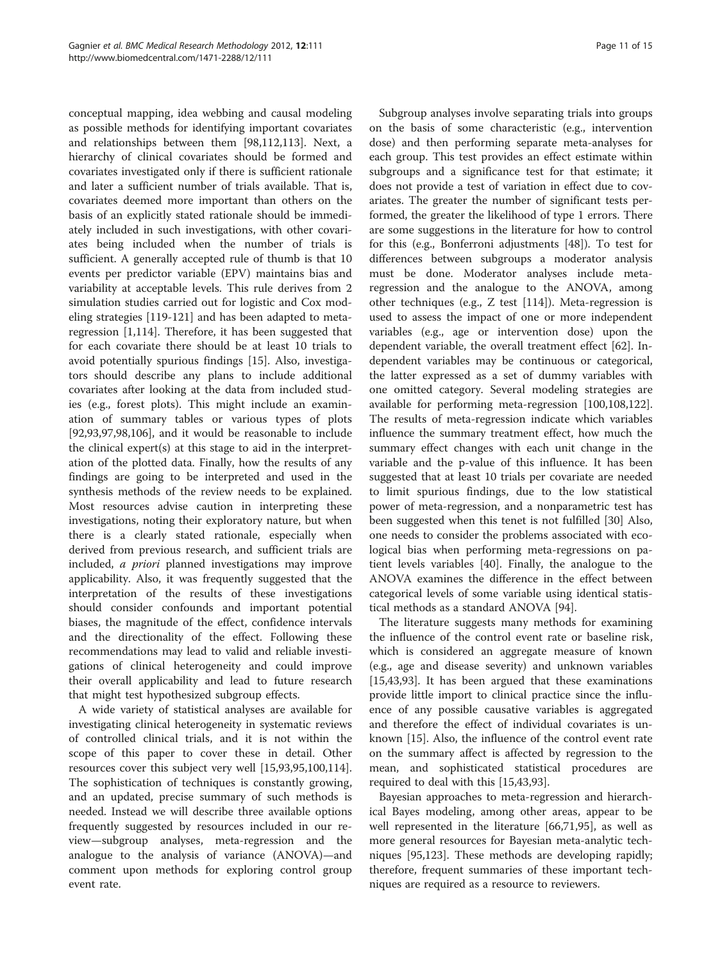conceptual mapping, idea webbing and causal modeling as possible methods for identifying important covariates and relationships between them [\[98,](#page-13-0)[112,113\]](#page-14-0). Next, a hierarchy of clinical covariates should be formed and covariates investigated only if there is sufficient rationale and later a sufficient number of trials available. That is, covariates deemed more important than others on the basis of an explicitly stated rationale should be immediately included in such investigations, with other covariates being included when the number of trials is sufficient. A generally accepted rule of thumb is that 10 events per predictor variable (EPV) maintains bias and variability at acceptable levels. This rule derives from 2 simulation studies carried out for logistic and Cox modeling strategies [[119-121\]](#page-14-0) and has been adapted to metaregression [[1,](#page-11-0)[114\]](#page-14-0). Therefore, it has been suggested that for each covariate there should be at least 10 trials to avoid potentially spurious findings [[15\]](#page-12-0). Also, investigators should describe any plans to include additional covariates after looking at the data from included studies (e.g., forest plots). This might include an examination of summary tables or various types of plots [[92,93,97,98,106](#page-13-0)], and it would be reasonable to include the clinical expert(s) at this stage to aid in the interpretation of the plotted data. Finally, how the results of any findings are going to be interpreted and used in the synthesis methods of the review needs to be explained. Most resources advise caution in interpreting these investigations, noting their exploratory nature, but when there is a clearly stated rationale, especially when derived from previous research, and sufficient trials are included, a priori planned investigations may improve applicability. Also, it was frequently suggested that the interpretation of the results of these investigations should consider confounds and important potential biases, the magnitude of the effect, confidence intervals and the directionality of the effect. Following these recommendations may lead to valid and reliable investigations of clinical heterogeneity and could improve their overall applicability and lead to future research that might test hypothesized subgroup effects.

A wide variety of statistical analyses are available for investigating clinical heterogeneity in systematic reviews of controlled clinical trials, and it is not within the scope of this paper to cover these in detail. Other resources cover this subject very well [[15,](#page-12-0)[93,95](#page-13-0),[100](#page-13-0)[,114](#page-14-0)]. The sophistication of techniques is constantly growing, and an updated, precise summary of such methods is needed. Instead we will describe three available options frequently suggested by resources included in our review—subgroup analyses, meta-regression and the analogue to the analysis of variance (ANOVA)—and comment upon methods for exploring control group event rate.

Subgroup analyses involve separating trials into groups on the basis of some characteristic (e.g., intervention dose) and then performing separate meta-analyses for each group. This test provides an effect estimate within subgroups and a significance test for that estimate; it does not provide a test of variation in effect due to covariates. The greater the number of significant tests performed, the greater the likelihood of type 1 errors. There are some suggestions in the literature for how to control for this (e.g., Bonferroni adjustments [[48\]](#page-12-0)). To test for differences between subgroups a moderator analysis must be done. Moderator analyses include metaregression and the analogue to the ANOVA, among other techniques (e.g., Z test [\[114](#page-14-0)]). Meta-regression is used to assess the impact of one or more independent variables (e.g., age or intervention dose) upon the dependent variable, the overall treatment effect [[62](#page-13-0)]. Independent variables may be continuous or categorical, the latter expressed as a set of dummy variables with one omitted category. Several modeling strategies are available for performing meta-regression [[100,](#page-13-0)[108](#page-14-0),[122](#page-14-0)]. The results of meta-regression indicate which variables influence the summary treatment effect, how much the summary effect changes with each unit change in the variable and the p-value of this influence. It has been suggested that at least 10 trials per covariate are needed to limit spurious findings, due to the low statistical power of meta-regression, and a nonparametric test has been suggested when this tenet is not fulfilled [[30](#page-12-0)] Also, one needs to consider the problems associated with ecological bias when performing meta-regressions on patient levels variables [\[40\]](#page-12-0). Finally, the analogue to the ANOVA examines the difference in the effect between categorical levels of some variable using identical statistical methods as a standard ANOVA [[94\]](#page-13-0).

The literature suggests many methods for examining the influence of the control event rate or baseline risk, which is considered an aggregate measure of known (e.g., age and disease severity) and unknown variables [[15,43,](#page-12-0)[93\]](#page-13-0). It has been argued that these examinations provide little import to clinical practice since the influence of any possible causative variables is aggregated and therefore the effect of individual covariates is unknown [[15\]](#page-12-0). Also, the influence of the control event rate on the summary affect is affected by regression to the mean, and sophisticated statistical procedures are required to deal with this [[15](#page-12-0),[43](#page-12-0),[93](#page-13-0)].

Bayesian approaches to meta-regression and hierarchical Bayes modeling, among other areas, appear to be well represented in the literature [[66,71,95\]](#page-13-0), as well as more general resources for Bayesian meta-analytic techniques [[95,](#page-13-0)[123\]](#page-14-0). These methods are developing rapidly; therefore, frequent summaries of these important techniques are required as a resource to reviewers.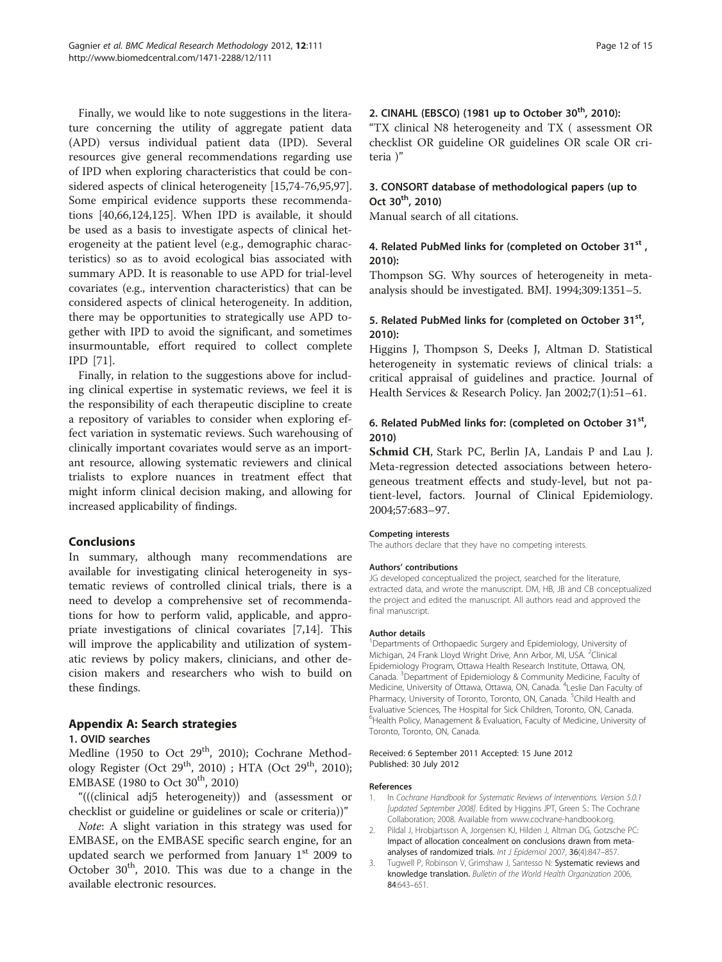<span id="page-11-0"></span>Finally, we would like to note suggestions in the literature concerning the utility of aggregate patient data (APD) versus individual patient data (IPD). Several resources give general recommendations regarding use of IPD when exploring characteristics that could be considered aspects of clinical heterogeneity [\[15](#page-12-0)[,74-76,95,97](#page-13-0)]. Some empirical evidence supports these recommendations [[40](#page-12-0)[,66](#page-13-0)[,124,125](#page-14-0)]. When IPD is available, it should be used as a basis to investigate aspects of clinical heterogeneity at the patient level (e.g., demographic characteristics) so as to avoid ecological bias associated with summary APD. It is reasonable to use APD for trial-level covariates (e.g., intervention characteristics) that can be considered aspects of clinical heterogeneity. In addition, there may be opportunities to strategically use APD together with IPD to avoid the significant, and sometimes insurmountable, effort required to collect complete IPD [[71\]](#page-13-0).

Finally, in relation to the suggestions above for including clinical expertise in systematic reviews, we feel it is the responsibility of each therapeutic discipline to create a repository of variables to consider when exploring effect variation in systematic reviews. Such warehousing of clinically important covariates would serve as an important resource, allowing systematic reviewers and clinical trialists to explore nuances in treatment effect that might inform clinical decision making, and allowing for increased applicability of findings.

#### Conclusions

In summary, although many recommendations are available for investigating clinical heterogeneity in systematic reviews of controlled clinical trials, there is a need to develop a comprehensive set of recommendations for how to perform valid, applicable, and appropriate investigations of clinical covariates [[7](#page-12-0),[14](#page-12-0)]. This will improve the applicability and utilization of systematic reviews by policy makers, clinicians, and other decision makers and researchers who wish to build on these findings.

#### Appendix A: Search strategies

# 1. OVID searches

Medline (1950 to Oct  $29<sup>th</sup>$ , 2010); Cochrane Methodology Register (Oct 29<sup>th</sup>, 2010) ; HTA (Oct 29<sup>th</sup>, 2010); EMBASE (1980 to Oct  $30^{th}$ , 2010)

"(((clinical adj5 heterogeneity)) and (assessment or checklist or guideline or guidelines or scale or criteria))"

Note: A slight variation in this strategy was used for EMBASE, on the EMBASE specific search engine, for an updated search we performed from January  $1<sup>st</sup>$  2009 to October 30<sup>th</sup>, 2010. This was due to a change in the available electronic resources.

#### 2. CINAHL (EBSCO) (1981 up to October 30<sup>th</sup>, 2010):

"TX clinical N8 heterogeneity and TX ( assessment OR checklist OR guideline OR guidelines OR scale OR criteria )"

#### 3. CONSORT database of methodological papers (up to Oct  $30^{th}$ , 2010)

Manual search of all citations.

# 4. Related PubMed links for (completed on October 31<sup>st</sup>, 2010):

Thompson SG. Why sources of heterogeneity in metaanalysis should be investigated. BMJ. 1994;309:1351–5.

# 5. Related PubMed links for (completed on October 31st, 2010):

Higgins J, Thompson S, Deeks J, Altman D. Statistical heterogeneity in systematic reviews of clinical trials: a critical appraisal of guidelines and practice. Journal of Health Services & Research Policy. Jan 2002;7(1):51–61.

# 6. Related PubMed links for: (completed on October 31st, 2010)

Schmid CH, Stark PC, Berlin JA, Landais P and Lau J. Meta-regression detected associations between heterogeneous treatment effects and study-level, but not patient-level, factors. Journal of Clinical Epidemiology. 2004;57:683–97.

#### Competing interests

The authors declare that they have no competing interests.

#### Authors' contributions

JG developed conceptualized the project, searched for the literature, extracted data, and wrote the manuscript. DM, HB, JB and CB conceptualized the project and edited the manuscript. All authors read and approved the final manuscript.

#### Author details

<sup>1</sup>Departments of Orthopaedic Surgery and Epidemiology, University of Michigan, 24 Frank Lloyd Wright Drive, Ann Arbor, MI, USA. <sup>2</sup>Clinical Epidemiology Program, Ottawa Health Research Institute, Ottawa, ON, Canada. <sup>3</sup> Department of Epidemiology & Community Medicine, Faculty of Medicine, University of Ottawa, Ottawa, ON, Canada. <sup>4</sup>Leslie Dan Faculty of Pharmacy, University of Toronto, Toronto, ON, Canada. <sup>5</sup>Child Health and Evaluative Sciences, The Hospital for Sick Children, Toronto, ON, Canada. 6 Health Policy, Management & Evaluation, Faculty of Medicine, University of Toronto, Toronto, ON, Canada.

#### Received: 6 September 2011 Accepted: 15 June 2012 Published: 30 July 2012

#### References

- 1. In Cochrane Handbook for Systematic Reviews of Interventions. Version 5.0.1 [updated September 2008]. Edited by Higgins JPT, Green S.: The Cochrane Collaboration; 2008. Available from www.cochrane-handbook.org.
- 2. Pildal J, Hrobjartsson A, Jorgensen KJ, Hilden J, Altman DG, Gotzsche PC: Impact of allocation concealment on conclusions drawn from metaanalyses of randomized trials. Int J Epidemiol 2007, 36(4):847-857
- 3. Tugwell P, Robinson V, Grimshaw J, Santesso N: Systematic reviews and knowledge translation. Bulletin of the World Health Organization 2006, 84:643–651.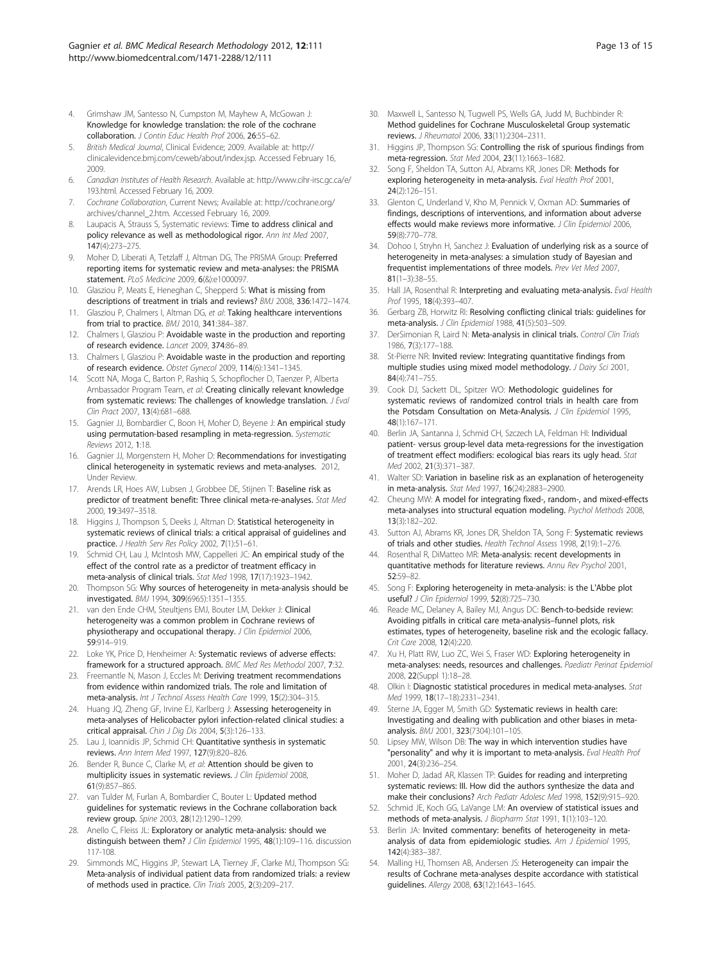- <span id="page-12-0"></span>4. Grimshaw JM, Santesso N, Cumpston M, Mayhew A, McGowan J: Knowledge for knowledge translation: the role of the cochrane collaboration. J Contin Educ Health Prof 2006, 26:55–62.
- 5. British Medical Journal, Clinical Evidence; 2009. Available at: http:// clinicalevidence.bmj.com/ceweb/about/index.jsp. Accessed February 16, 2009.
- 6. Canadian Institutes of Health Research. Available at: [http://www.cihr-irsc.gc.ca/e/](http://www.cihr-irsc.gc.ca/e/193.html) [193.html.](http://www.cihr-irsc.gc.ca/e/193.html) Accessed February 16, 2009.
- 7. Cochrane Collaboration, Current News; Available at: http://cochrane.org/ archives/channel\_2.htm. Accessed February 16, 2009.
- Laupacis A, Strauss S, Systematic reviews: Time to address clinical and policy relevance as well as methodological rigor. Ann Int Med 2007 147(4):273–275.
- 9. Moher D, Liberati A, Tetzlaff J, Altman DG, The PRISMA Group: Preferred reporting items for systematic review and meta-analyses: the PRISMA statement. PLoS Medicine 2009, 6(&):e1000097.
- 10. Glasziou P, Meats E, Heneghan C, Shepperd S: What is missing from descriptions of treatment in trials and reviews? BMJ 2008, 336:1472–1474.
- 11. Glasziou P, Chalmers I, Altman DG, et al: Taking healthcare interventions from trial to practice. BMJ 2010, 341:384–387.
- 12. Chalmers I, Glasziou P: Avoidable waste in the production and reporting of research evidence. Lancet 2009, 374:86–89.
- 13. Chalmers I, Glasziou P: Avoidable waste in the production and reporting of research evidence. Obstet Gynecol 2009, 114(6):1341–1345.
- 14. Scott NA, Moga C, Barton P, Rashiq S, Schopflocher D, Taenzer P, Alberta Ambassador Program Team, et al: Creating clinically relevant knowledge from systematic reviews: The challenges of knowledge translation. J Eval Clin Pract 2007, 13(4):681–688.
- 15. Gagnier JJ, Bombardier C, Boon H, Moher D, Beyene J: An empirical study using permutation-based resampling in meta-regression. Systematic Reviews 2012, 1:18.
- 16. Gagnier JJ, Morgenstern H, Moher D: Recommendations for investigating clinical heterogeneity in systematic reviews and meta-analyses. 2012, Under Review.
- 17. Arends LR, Hoes AW, Lubsen J, Grobbee DE, Stijnen T: Baseline risk as predictor of treatment benefit: Three clinical meta-re-analyses. Stat Med 2000, 19:3497–3518.
- 18. Higgins J, Thompson S, Deeks J, Altman D: Statistical heterogeneity in systematic reviews of clinical trials: a critical appraisal of guidelines and practice. J Health Serv Res Policy 2002, 7(1):51-61.
- 19. Schmid CH, Lau J, McIntosh MW, Cappelleri JC: An empirical study of the effect of the control rate as a predictor of treatment efficacy in meta-analysis of clinical trials. Stat Med 1998, 17(17):1923–1942.
- 20. Thompson SG: Why sources of heterogeneity in meta-analysis should be investigated. BMJ 1994, 309(6965):1351–1355.
- 21. van den Ende CHM, Steultjens EMJ, Bouter LM, Dekker J: Clinical heterogeneity was a common problem in Cochrane reviews of physiotherapy and occupational therapy. J Clin Epidemiol 2006, 59:914–919.
- 22. Loke YK, Price D, Herxheimer A: Systematic reviews of adverse effects: framework for a structured approach. BMC Med Res Methodol 2007, 7:32.
- 23. Freemantle N, Mason J, Eccles M: Deriving treatment recommendations from evidence within randomized trials. The role and limitation of meta-analysis. Int J Technol Assess Health Care 1999, 15(2):304-315.
- 24. Huang JQ, Zheng GF, Irvine EJ, Karlberg J: Assessing heterogeneity in meta-analyses of Helicobacter pylori infection-related clinical studies: a critical appraisal. Chin J Dig Dis 2004, 5(3):126–133.
- 25. Lau J, Ioannidis JP, Schmid CH: Quantitative synthesis in systematic reviews. Ann Intern Med 1997, 127(9):820–826.
- 26. Bender R, Bunce C, Clarke M, et al: Attention should be given to multiplicity issues in systematic reviews. J Clin Epidemiol 2008, 61(9):857–865.
- 27. van Tulder M, Furlan A, Bombardier C, Bouter L: Updated method guidelines for systematic reviews in the Cochrane collaboration back review group. Spine 2003, 28(12):1290–1299.
- 28. Anello C, Fleiss JL: Exploratory or analytic meta-analysis: should we distinguish between them? J Clin Epidemiol 1995, 48(1):109-116. discussion 117-108.
- 29. Simmonds MC, Higgins JP, Stewart LA, Tierney JF, Clarke MJ, Thompson SG: Meta-analysis of individual patient data from randomized trials: a review of methods used in practice. Clin Trials 2005, 2(3):209–217.
- 30. Maxwell L, Santesso N, Tugwell PS, Wells GA, Judd M, Buchbinder R: Method guidelines for Cochrane Musculoskeletal Group systematic reviews. J Rheumatol 2006, 33(11):2304–2311.
- 31. Higgins JP, Thompson SG: Controlling the risk of spurious findings from meta-regression. Stat Med 2004, 23(11):1663–1682.
- 32. Song F, Sheldon TA, Sutton AJ, Abrams KR, Jones DR: Methods for exploring heterogeneity in meta-analysis. Eval Health Prof 2001, 24(2):126–151.
- 33. Glenton C, Underland V, Kho M, Pennick V, Oxman AD: Summaries of findings, descriptions of interventions, and information about adverse effects would make reviews more informative. J Clin Epidemiol 2006, 59(8):770–778.
- 34. Dohoo I, Stryhn H, Sanchez J: Evaluation of underlying risk as a source of heterogeneity in meta-analyses: a simulation study of Bayesian and frequentist implementations of three models. Prev Vet Med 2007, 81(1–3):38–55.
- 35. Hall JA, Rosenthal R: Interpreting and evaluating meta-analysis. Eval Health Prof 1995, 18(4):393-407.
- 36. Gerbarg ZB, Horwitz RI: Resolving conflicting clinical trials: guidelines for meta-analysis. J Clin Epidemiol 1988, 41(5):503–509.
- 37. DerSimonian R, Laird N: Meta-analysis in clinical trials. Control Clin Trials 1986, 7(3):177–188.
- 38. St-Pierre NR: Invited review: Integrating quantitative findings from multiple studies using mixed model methodology. J Dairy Sci 2001, 84(4):741–755.
- 39. Cook DJ, Sackett DL, Spitzer WO: Methodologic guidelines for systematic reviews of randomized control trials in health care from the Potsdam Consultation on Meta-Analysis. J Clin Epidemiol 1995, 48(1):167–171.
- 40. Berlin JA, Santanna J, Schmid CH, Szczech LA, Feldman HI: Individual patient- versus group-level data meta-regressions for the investigation of treatment effect modifiers: ecological bias rears its ugly head. Stat Med 2002, 21(3):371–387.
- 41. Walter SD: Variation in baseline risk as an explanation of heterogeneity in meta-analysis. Stat Med 1997, 16(24):2883–2900.
- 42. Cheung MW: A model for integrating fixed-, random-, and mixed-effects meta-analyses into structural equation modeling. Psychol Methods 2008, 13(3):182–202.
- 43. Sutton AJ, Abrams KR, Jones DR, Sheldon TA, Song F: Systematic reviews of trials and other studies. Health Technol Assess 1998, 2(19):1–276.
- 44. Rosenthal R, DiMatteo MR: Meta-analysis: recent developments in quantitative methods for literature reviews. Annu Rev Psychol 2001, 52:59–82.
- 45. Song F: Exploring heterogeneity in meta-analysis: is the L'Abbe plot useful? J Clin Epidemiol 1999, 52(8):725–730.
- 46. Reade MC, Delaney A, Bailey MJ, Angus DC: Bench-to-bedside review: Avoiding pitfalls in critical care meta-analysis–funnel plots, risk estimates, types of heterogeneity, baseline risk and the ecologic fallacy. Crit Care 2008, 12(4):220.
- 47. Xu H, Platt RW, Luo ZC, Wei S, Fraser WD: Exploring heterogeneity in meta-analyses: needs, resources and challenges. Paediatr Perinat Epidemiol 2008, 22(Suppl 1):18–28.
- 48. Olkin I: Diagnostic statistical procedures in medical meta-analyses. Stat Med 1999, 18(17–18):2331–2341.
- 49. Sterne JA, Egger M, Smith GD: Systematic reviews in health care: Investigating and dealing with publication and other biases in metaanalysis. BMJ 2001, 323(7304):101–105.
- 50. Lipsey MW, Wilson DB: The way in which intervention studies have "personality" and why it is important to meta-analysis. Eval Health Prof 2001, 24(3):236–254.
- 51. Moher D, Jadad AR, Klassen TP: Guides for reading and interpreting systematic reviews: III. How did the authors synthesize the data and make their conclusions? Arch Pediatr Adolesc Med 1998, 152(9):915–920.
- 52. Schmid JE, Koch GG, LaVange LM: An overview of statistical issues and methods of meta-analysis. J Biopharm Stat 1991, 1(1):103–120.
- 53. Berlin JA: Invited commentary: benefits of heterogeneity in metaanalysis of data from epidemiologic studies. Am J Epidemiol 1995, 142(4):383–387.
- 54. Malling HJ, Thomsen AB, Andersen JS: Heterogeneity can impair the results of Cochrane meta-analyses despite accordance with statistical guidelines. Allergy 2008, 63(12):1643–1645.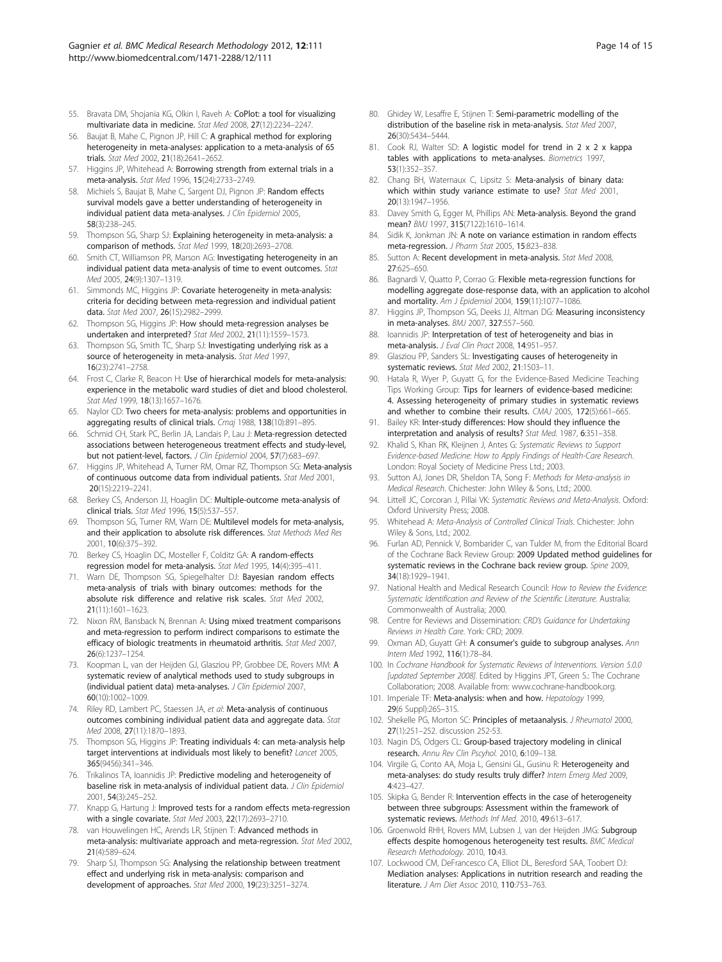- <span id="page-13-0"></span>55. Bravata DM, Shojania KG, Olkin I, Raveh A: CoPlot: a tool for visualizing multivariate data in medicine. Stat Med 2008, 27(12):2234–2247.
- 56. Baujat B, Mahe C, Pignon JP, Hill C: A graphical method for exploring heterogeneity in meta-analyses: application to a meta-analysis of 65 trials. Stat Med 2002, 21(18):2641–2652.
- 57. Higgins JP, Whitehead A: Borrowing strength from external trials in a meta-analysis. Stat Med 1996, 15(24):2733–2749.
- 58. Michiels S, Baujat B, Mahe C, Sargent DJ, Pignon JP: Random effects survival models gave a better understanding of heterogeneity in individual patient data meta-analyses. J Clin Epidemiol 2005, 58(3):238–245.
- 59. Thompson SG, Sharp SJ: Explaining heterogeneity in meta-analysis: a comparison of methods. Stat Med 1999, 18(20):2693–2708.
- 60. Smith CT, Williamson PR, Marson AG: Investigating heterogeneity in an individual patient data meta-analysis of time to event outcomes. Stat Med 2005, 24(9):1307–1319.
- 61. Simmonds MC, Higgins JP: Covariate heterogeneity in meta-analysis: criteria for deciding between meta-regression and individual patient data. Stat Med 2007, 26(15):2982–2999.
- 62. Thompson SG, Higgins JP: How should meta-regression analyses be undertaken and interpreted? Stat Med 2002, 21(11):1559–1573.
- 63. Thompson SG, Smith TC, Sharp SJ: Investigating underlying risk as a source of heterogeneity in meta-analysis. Stat Med 1997, 16(23):2741–2758.
- 64. Frost C, Clarke R, Beacon H: Use of hierarchical models for meta-analysis: experience in the metabolic ward studies of diet and blood cholesterol. Stat Med 1999, 18(13):1657–1676.
- 65. Naylor CD: Two cheers for meta-analysis: problems and opportunities in aggregating results of clinical trials. Cmaj 1988, 138(10):891-895.
- 66. Schmid CH, Stark PC, Berlin JA, Landais P, Lau J: Meta-regression detected associations between heterogeneous treatment effects and study-level, but not patient-level, factors. J Clin Epidemiol 2004, 57(7):683–697.
- 67. Higgins JP, Whitehead A, Turner RM, Omar RZ, Thompson SG: Meta-analysis of continuous outcome data from individual patients. Stat Med 2001, 20(15):2219–2241.
- 68. Berkey CS, Anderson JJ, Hoaglin DC: Multiple-outcome meta-analysis of clinical trials. Stat Med 1996, 15(5):537–557.
- 69. Thompson SG, Turner RM, Warn DE: Multilevel models for meta-analysis, and their application to absolute risk differences. Stat Methods Med Res 2001, 10(6):375–392.
- 70. Berkey CS, Hoaglin DC, Mosteller F, Colditz GA: A random-effects regression model for meta-analysis. Stat Med 1995, 14(4):395–411.
- 71. Warn DE, Thompson SG, Spiegelhalter DJ: Bayesian random effects meta-analysis of trials with binary outcomes: methods for the absolute risk difference and relative risk scales. Stat Med 2002, 21(11):1601–1623.
- 72. Nixon RM, Bansback N, Brennan A: Using mixed treatment comparisons and meta-regression to perform indirect comparisons to estimate the efficacy of biologic treatments in rheumatoid arthritis. Stat Med 2007, 26(6):1237–1254.
- 73. Koopman L, van der Heijden GJ, Glasziou PP, Grobbee DE, Rovers MM: A systematic review of analytical methods used to study subgroups in (individual patient data) meta-analyses. J Clin Epidemiol 2007, 60(10):1002–1009.
- 74. Riley RD, Lambert PC, Staessen JA, et al: Meta-analysis of continuous outcomes combining individual patient data and aggregate data. Stat Med 2008, 27(11):1870–1893.
- 75. Thompson SG, Higgins JP: Treating individuals 4: can meta-analysis help target interventions at individuals most likely to benefit? Lancet 2005, 365(9456):341–346.
- 76. Trikalinos TA, Ioannidis JP: Predictive modeling and heterogeneity of baseline risk in meta-analysis of individual patient data. J Clin Epidemiol 2001, 54(3):245–252.
- 77. Knapp G, Hartung J: Improved tests for a random effects meta-regression with a single covariate. Stat Med 2003, 22(17):2693–2710.
- 78. van Houwelingen HC, Arends LR, Stijnen T: Advanced methods in meta-analysis: multivariate approach and meta-regression. Stat Med 2002, 21(4):589–624.
- 79. Sharp SJ, Thompson SG: Analysing the relationship between treatment effect and underlying risk in meta-analysis: comparison and development of approaches. Stat Med 2000, 19(23):3251–3274.
- 80. Ghidey W, Lesaffre E, Stijnen T: Semi-parametric modelling of the distribution of the baseline risk in meta-analysis. Stat Med 2007, 26(30):5434–5444.
- 81. Cook RJ, Walter SD: A logistic model for trend in 2 x 2 x kappa tables with applications to meta-analyses. Biometrics 1997, 53(1):352–357.
- 82. Chang BH, Waternaux C, Lipsitz S: Meta-analysis of binary data: which within study variance estimate to use? Stat Med 2001, 20(13):1947–1956.
- 83. Davey Smith G, Egger M, Phillips AN: Meta-analysis. Beyond the grand mean? BMJ 1997, 315(7122):1610-1614.
- 84. Sidik K, Jonkman JN: A note on variance estimation in random effects meta-regression. J Pharm Stat 2005, 15:823–838.
- 85. Sutton A: Recent development in meta-analysis. Stat Med 2008, 27:625–650.
- 86. Bagnardi V, Quatto P, Corrao G: Flexible meta-regression functions for modelling aggregate dose-response data, with an application to alcohol and mortality. Am J Epidemiol 2004, 159(11):1077-1086
- 87. Higgins JP, Thompson SG, Deeks JJ, Altman DG: Measuring inconsistency in meta-analyses. BMJ 2007, 327:557–560.
- 88. Ioannidis JP: Interpretation of test of heterogeneity and bias in meta-analysis. J Eval Clin Pract 2008, 14:951–957.
- 89. Glasziou PP, Sanders SL: Investigating causes of heterogeneity in systematic reviews. Stat Med 2002, 21:1503–11.
- 90. Hatala R, Wyer P, Guyatt G, for the Evidence-Based Medicine Teaching Tips Working Group: Tips for learners of evidence-based medicine: 4. Assessing heterogeneity of primary studies in systematic reviews and whether to combine their results. CMAJ 2005, 172(5):661–665.
- 91. Bailey KR: Inter-study differences: How should they influence the interpretation and analysis of results? Stat Med. 1987, 6:351–358.
- 92. Khalid S, Khan RK, Kleijnen J, Antes G: Systematic Reviews to Support Evidence-based Medicine: How to Apply Findings of Health-Care Research. London: Royal Society of Medicine Press Ltd.; 2003.
- 93. Sutton AJ, Jones DR, Sheldon TA, Song F: Methods for Meta-analysis in Medical Research. Chichester: John Wiley & Sons, Ltd.; 2000.
- 94. Littell JC, Corcoran J, Pillai VK: Systematic Reviews and Meta-Analysis. Oxford: Oxford University Press; 2008.
- 95. Whitehead A: Meta-Analysis of Controlled Clinical Trials. Chichester: John Wiley & Sons, Ltd.; 2002.
- 96. Furlan AD, Pennick V, Bombarider C, van Tulder M, from the Editorial Board of the Cochrane Back Review Group: 2009 Updated method guidelines for systematic reviews in the Cochrane back review group. Spine 2009, 34(18):1929–1941.
- 97. National Health and Medical Research Council: How to Review the Evidence: Systematic Identification and Review of the Scientific Literature. Australia: Commonwealth of Australia; 2000.
- 98. Centre for Reviews and Dissemination: CRD's Guidance for Undertaking Reviews in Health Care. York: CRD; 2009.
- 99. Oxman AD, Guyatt GH: A consumer's guide to subgroup analyses. Ann Intern Med 1992, 116(1):78–84.
- 100. In Cochrane Handbook for Systematic Reviews of Interventions. Version 5.0.0 [updated September 2008]. Edited by Higgins JPT, Green S.: The Cochrane Collaboration; 2008. Available from: www.cochrane-handbook.org.
- 101. Imperiale TF: Meta-analysis: when and how. Hepatology 1999, 29(6 Suppl):26S–31S.
- 102. Shekelle PG, Morton SC: Principles of metaanalysis. J Rheumatol 2000, 27(1):251–252. discussion 252-53.
- 103. Nagin DS, Odgers CL: Group-based trajectory modeling in clinical research. Annu Rev Clin Pscyhol. 2010, 6:109–138.
- 104. Virgile G, Conto AA, Moja L, Gensini GL, Gusinu R: Heterogeneity and meta-analyses: do study results truly differ? Intern Emerg Med 2009, 4:423–427.
- 105. Skipka G, Bender R: Intervention effects in the case of heterogeneity between three subgroups: Assessment within the framework of systematic reviews. Methods Inf Med. 2010, 49:613–617.
- 106. Groenwold RHH, Rovers MM, Lubsen J, van der Heijden JMG: Subgroup effects despite homogenous heterogeneity test results. BMC Medical Research Methodology. 2010, 10:43.
- 107. Lockwood CM, DeFrancesco CA, Elliot DL, Beresford SAA, Toobert DJ: Mediation analyses: Applications in nutrition research and reading the literature. J Am Diet Assoc 2010, 110:753–763.